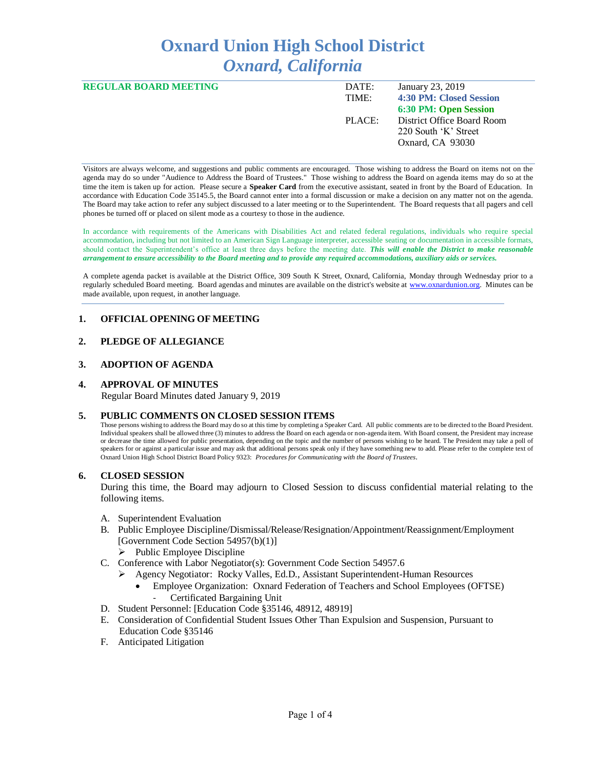# **Oxnard Union High School District** *Oxnard, California*

| <b>REGULAR BOARD MEETING</b> | DATE:<br>TIME: | January 23, 2019<br><b>4:30 PM: Closed Session</b>                                              |
|------------------------------|----------------|-------------------------------------------------------------------------------------------------|
|                              | PLACE:         | 6:30 PM: Open Session<br>District Office Board Room<br>220 South 'K' Street<br>Oxnard, CA 93030 |

Visitors are always welcome, and suggestions and public comments are encouraged. Those wishing to address the Board on items not on the agenda may do so under "Audience to Address the Board of Trustees." Those wishing to address the Board on agenda items may do so at the time the item is taken up for action. Please secure a **Speaker Card** from the executive assistant, seated in front by the Board of Education. In accordance with Education Code 35145.5, the Board cannot enter into a formal discussion or make a decision on any matter not on the agenda. The Board may take action to refer any subject discussed to a later meeting or to the Superintendent. The Board requests that all pagers and cell phones be turned off or placed on silent mode as a courtesy to those in the audience.

In accordance with requirements of the Americans with Disabilities Act and related federal regulations, individuals who require special accommodation, including but not limited to an American Sign Language interpreter, accessible seating or documentation in accessible formats, should contact the Superintendent's office at least three days before the meeting date. *This will enable the District to make reasonable arrangement to ensure accessibility to the Board meeting and to provide any required accommodations, auxiliary aids or services.* 

A complete agenda packet is available at the District Office, 309 South K Street, Oxnard, California, Monday through Wednesday prior to a regularly scheduled Board meeting. Board agendas and minutes are available on the district's website at [www.ox](http://www.o/)nardunion.org.Minutes can be made available, upon request, in another language.

# **1. OFFICIAL OPENING OF MEETING**

# **2. PLEDGE OF ALLEGIANCE**

## **3. ADOPTION OF AGENDA**

## **4. APPROVAL OF MINUTES**

Regular Board Minutes dated January 9, 2019

#### **5. PUBLIC COMMENTS ON CLOSED SESSION ITEMS**

Those persons wishing to address the Board may do so at this time by completing a Speaker Card. All public comments are to be directed to the Board President. Individual speakers shall be allowed three (3) minutes to address the Board on each agenda or non-agenda item. With Board consent, the President may increase or decrease the time allowed for public presentation, depending on the topic and the number of persons wishing to be heard. The President may take a poll of speakers for or against a particular issue and may ask that additional persons speak only if they have something new to add. Please refer to the complete text of Oxnard Union High School District Board Policy 9323: *Procedures for Communicating with the Board of Trustees*.

#### **6. CLOSED SESSION**

During this time, the Board may adjourn to Closed Session to discuss confidential material relating to the following items.

- A. Superintendent Evaluation
- B. Public Employee Discipline/Dismissal/Release/Resignation/Appointment/Reassignment/Employment [Government Code Section 54957(b)(1)]
	- ➢ Public Employee Discipline
- C. Conference with Labor Negotiator(s): Government Code Section 54957.6
	- ➢ Agency Negotiator: Rocky Valles, Ed.D., Assistant Superintendent-Human Resources
		- Employee Organization: Oxnard Federation of Teachers and School Employees (OFTSE) Certificated Bargaining Unit
- D. Student Personnel: [Education Code §35146, 48912, 48919]
- E. Consideration of Confidential Student Issues Other Than Expulsion and Suspension, Pursuant to Education Code §35146
- F. Anticipated Litigation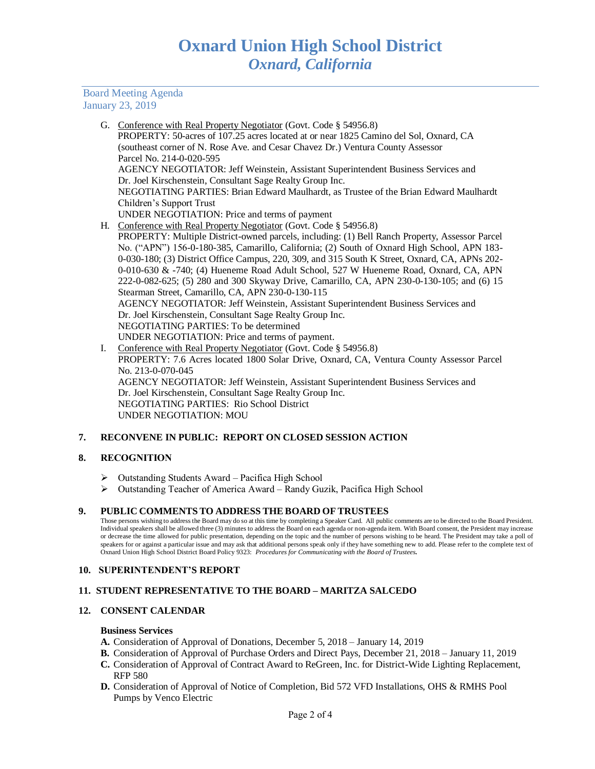Board Meeting Agenda January 23, 2019

- G. Conference with Real Property Negotiator (Govt. Code § 54956.8) PROPERTY: 50-acres of 107.25 acres located at or near 1825 Camino del Sol, Oxnard, CA (southeast corner of N. Rose Ave. and Cesar Chavez Dr.) Ventura County Assessor Parcel No. 214-0-020-595 AGENCY NEGOTIATOR: Jeff Weinstein, Assistant Superintendent Business Services and Dr. Joel Kirschenstein, Consultant Sage Realty Group Inc. NEGOTIATING PARTIES: Brian Edward Maulhardt, as Trustee of the Brian Edward Maulhardt Children's Support Trust UNDER NEGOTIATION: Price and terms of payment H. Conference with Real Property Negotiator (Govt. Code § 54956.8) PROPERTY: Multiple District-owned parcels, including: (1) Bell Ranch Property, Assessor Parcel
- No. ("APN") 156-0-180-385, Camarillo, California; (2) South of Oxnard High School, APN 183- 0-030-180; (3) District Office Campus, 220, 309, and 315 South K Street, Oxnard, CA, APNs 202- 0-010-630 & -740; (4) Hueneme Road Adult School, 527 W Hueneme Road, Oxnard, CA, APN 222-0-082-625; (5) 280 and 300 Skyway Drive, Camarillo, CA, APN 230-0-130-105; and (6) 15 Stearman Street, Camarillo, CA, APN 230-0-130-115 AGENCY NEGOTIATOR: Jeff Weinstein, Assistant Superintendent Business Services and Dr. Joel Kirschenstein, Consultant Sage Realty Group Inc. NEGOTIATING PARTIES: To be determined UNDER NEGOTIATION: Price and terms of payment.
- I. Conference with Real Property Negotiator (Govt. Code § 54956.8) PROPERTY: 7.6 Acres located 1800 Solar Drive, Oxnard, CA, Ventura County Assessor Parcel No. 213-0-070-045 AGENCY NEGOTIATOR: Jeff Weinstein, Assistant Superintendent Business Services and Dr. Joel Kirschenstein, Consultant Sage Realty Group Inc. NEGOTIATING PARTIES: Rio School District UNDER NEGOTIATION: MOU

# **7. RECONVENE IN PUBLIC: REPORT ON CLOSED SESSION ACTION**

## **8. RECOGNITION**

- ➢ Outstanding Students Award Pacifica High School
- ➢ Outstanding Teacher of America Award Randy Guzik, Pacifica High School

## **9. PUBLIC COMMENTS TO ADDRESS THE BOARD OF TRUSTEES**

Those persons wishing to address the Board may do so at this time by completing a Speaker Card. All public comments are to be directed to the Board President. Individual speakers shall be allowed three (3) minutes to address the Board on each agenda or non-agenda item. With Board consent, the President may increase or decrease the time allowed for public presentation, depending on the topic and the number of persons wishing to be heard. The President may take a poll of speakers for or against a particular issue and may ask that additional persons speak only if they have something new to add. Please refer to the complete text of<br>Oxnard Union High School District Board Policy 9323: Procedu

## **10. SUPERINTENDENT'S REPORT**

## **11. STUDENT REPRESENTATIVE TO THE BOARD – MARITZA SALCEDO**

## **12. CONSENT CALENDAR**

#### **Business Services**

- **A.** Consideration of Approval of Donations, December 5, 2018 January 14, 2019
- **B.** Consideration of Approval of Purchase Orders and Direct Pays, December 21, 2018 January 11, 2019
- **C.** Consideration of Approval of Contract Award to ReGreen, Inc. for District-Wide Lighting Replacement, RFP 580
- **D.** Consideration of Approval of Notice of Completion, Bid 572 VFD Installations, OHS & RMHS Pool Pumps by Venco Electric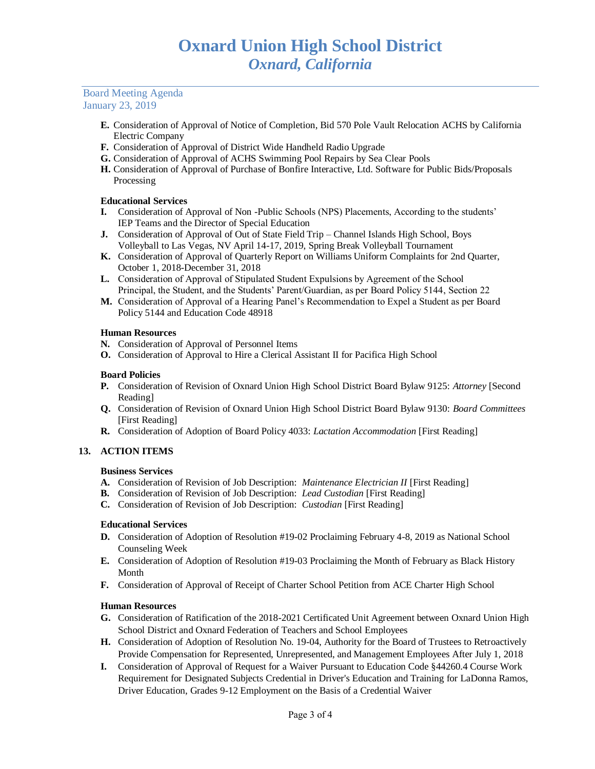## Board Meeting Agenda January 23, 2019

- **E.** Consideration of Approval of Notice of Completion, Bid 570 Pole Vault Relocation ACHS by California Electric Company
- **F.** Consideration of Approval of District Wide Handheld Radio Upgrade
- **G.** Consideration of Approval of ACHS Swimming Pool Repairs by Sea Clear Pools
- **H.** Consideration of Approval of Purchase of Bonfire Interactive, Ltd. Software for Public Bids/Proposals Processing

# **Educational Services**

- **I.** Consideration of Approval of Non -Public Schools (NPS) Placements, According to the students' IEP Teams and the Director of Special Education
- **J.** Consideration of Approval of Out of State Field Trip Channel Islands High School, Boys Volleyball to Las Vegas, NV April 14-17, 2019, Spring Break Volleyball Tournament
- **K.** Consideration of Approval of Quarterly Report on Williams Uniform Complaints for 2nd Quarter, October 1, 2018-December 31, 2018
- **L.** Consideration of Approval of Stipulated Student Expulsions by Agreement of the School Principal, the Student, and the Students' Parent/Guardian, as per Board Policy 5144, Section 22
- **M.** Consideration of Approval of a Hearing Panel's Recommendation to Expel a Student as per Board Policy 5144 and Education Code 48918

## **Human Resources**

- **N.** Consideration of Approval of Personnel Items
- **O.** Consideration of Approval to Hire a Clerical Assistant II for Pacifica High School

# **Board Policies**

- **P.** Consideration of Revision of Oxnard Union High School District Board Bylaw 9125: *Attorney* [Second Reading]
- **Q.** Consideration of Revision of Oxnard Union High School District Board Bylaw 9130: *Board Committees* [First Reading]
- **R.** Consideration of Adoption of Board Policy 4033: *Lactation Accommodation* [First Reading]

# **13. ACTION ITEMS**

# **Business Services**

- **A.** Consideration of Revision of Job Description: *Maintenance Electrician II* [First Reading]
- **B.** Consideration of Revision of Job Description: *Lead Custodian* [First Reading]
- **C.** Consideration of Revision of Job Description: *Custodian* [First Reading]

## **Educational Services**

- **D.** Consideration of Adoption of Resolution #19-02 Proclaiming February 4-8, 2019 as National School Counseling Week
- **E.** Consideration of Adoption of Resolution #19-03 Proclaiming the Month of February as Black History Month
- **F.** Consideration of Approval of Receipt of Charter School Petition from ACE Charter High School

## **Human Resources**

- **G.** Consideration of Ratification of the 2018-2021 Certificated Unit Agreement between Oxnard Union High School District and Oxnard Federation of Teachers and School Employees
- **H.** Consideration of Adoption of Resolution No. 19-04, Authority for the Board of Trustees to Retroactively Provide Compensation for Represented, Unrepresented, and Management Employees After July 1, 2018
- **I.** Consideration of Approval of Request for a Waiver Pursuant to Education Code §44260.4 Course Work Requirement for Designated Subjects Credential in Driver's Education and Training for LaDonna Ramos, Driver Education, Grades 9-12 Employment on the Basis of a Credential Waiver